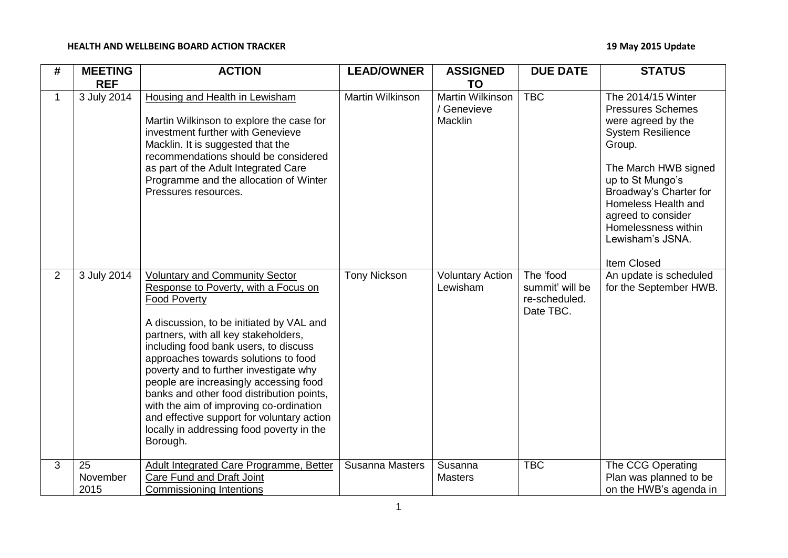## **HEALTH AND WELLBEING BOARD ACTION TRACKER 19 May 2015 Update**

| #              | <b>MEETING</b><br><b>REF</b> | <b>ACTION</b>                                                                                                                                                                                                                                                                                                                                                                                                                                                                                                                                                | <b>LEAD/OWNER</b>   | <b>ASSIGNED</b><br><b>TO</b>                      | <b>DUE DATE</b>                                            | <b>STATUS</b>                                                                                                                                                                                                                                                                           |
|----------------|------------------------------|--------------------------------------------------------------------------------------------------------------------------------------------------------------------------------------------------------------------------------------------------------------------------------------------------------------------------------------------------------------------------------------------------------------------------------------------------------------------------------------------------------------------------------------------------------------|---------------------|---------------------------------------------------|------------------------------------------------------------|-----------------------------------------------------------------------------------------------------------------------------------------------------------------------------------------------------------------------------------------------------------------------------------------|
| 1              | 3 July 2014                  | <b>Housing and Health in Lewisham</b><br>Martin Wilkinson to explore the case for<br>investment further with Genevieve<br>Macklin. It is suggested that the<br>recommendations should be considered<br>as part of the Adult Integrated Care<br>Programme and the allocation of Winter<br>Pressures resources.                                                                                                                                                                                                                                                | Martin Wilkinson    | <b>Martin Wilkinson</b><br>/ Genevieve<br>Macklin | <b>TBC</b>                                                 | The 2014/15 Winter<br><b>Pressures Schemes</b><br>were agreed by the<br><b>System Resilience</b><br>Group.<br>The March HWB signed<br>up to St Mungo's<br>Broadway's Charter for<br>Homeless Health and<br>agreed to consider<br>Homelessness within<br>Lewisham's JSNA.<br>Item Closed |
| $\overline{2}$ | 3 July 2014                  | <b>Voluntary and Community Sector</b><br>Response to Poverty, with a Focus on<br><b>Food Poverty</b><br>A discussion, to be initiated by VAL and<br>partners, with all key stakeholders,<br>including food bank users, to discuss<br>approaches towards solutions to food<br>poverty and to further investigate why<br>people are increasingly accessing food<br>banks and other food distribution points,<br>with the aim of improving co-ordination<br>and effective support for voluntary action<br>locally in addressing food poverty in the<br>Borough. | <b>Tony Nickson</b> | <b>Voluntary Action</b><br>Lewisham               | The 'food<br>summit' will be<br>re-scheduled.<br>Date TBC. | An update is scheduled<br>for the September HWB.                                                                                                                                                                                                                                        |
| 3              | 25<br>November<br>2015       | Adult Integrated Care Programme, Better<br>Care Fund and Draft Joint<br><b>Commissioning Intentions</b>                                                                                                                                                                                                                                                                                                                                                                                                                                                      | Susanna Masters     | Susanna<br><b>Masters</b>                         | <b>TBC</b>                                                 | The CCG Operating<br>Plan was planned to be<br>on the HWB's agenda in                                                                                                                                                                                                                   |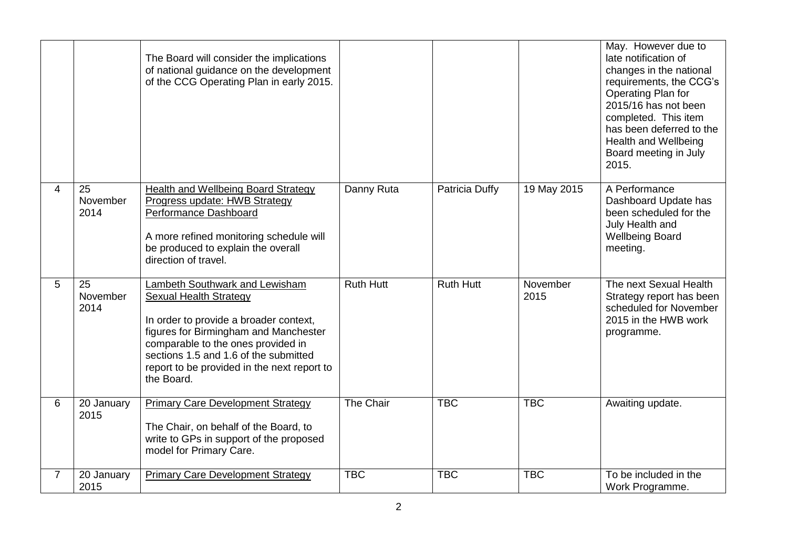|                |                        | The Board will consider the implications<br>of national guidance on the development<br>of the CCG Operating Plan in early 2015.                                                                                                                                                                       |                  |                  |                  | May. However due to<br>late notification of<br>changes in the national<br>requirements, the CCG's<br>Operating Plan for<br>2015/16 has not been<br>completed. This item<br>has been deferred to the<br>Health and Wellbeing<br>Board meeting in July<br>2015. |
|----------------|------------------------|-------------------------------------------------------------------------------------------------------------------------------------------------------------------------------------------------------------------------------------------------------------------------------------------------------|------------------|------------------|------------------|---------------------------------------------------------------------------------------------------------------------------------------------------------------------------------------------------------------------------------------------------------------|
| 4              | 25<br>November<br>2014 | Health and Wellbeing Board Strategy<br>Progress update: HWB Strategy<br>Performance Dashboard<br>A more refined monitoring schedule will<br>be produced to explain the overall<br>direction of travel.                                                                                                | Danny Ruta       | Patricia Duffy   | 19 May 2015      | A Performance<br>Dashboard Update has<br>been scheduled for the<br>July Health and<br><b>Wellbeing Board</b><br>meeting.                                                                                                                                      |
| 5              | 25<br>November<br>2014 | <b>Lambeth Southwark and Lewisham</b><br><b>Sexual Health Strategy</b><br>In order to provide a broader context,<br>figures for Birmingham and Manchester<br>comparable to the ones provided in<br>sections 1.5 and 1.6 of the submitted<br>report to be provided in the next report to<br>the Board. | <b>Ruth Hutt</b> | <b>Ruth Hutt</b> | November<br>2015 | The next Sexual Health<br>Strategy report has been<br>scheduled for November<br>2015 in the HWB work<br>programme.                                                                                                                                            |
| 6              | 20 January<br>2015     | <b>Primary Care Development Strategy</b><br>The Chair, on behalf of the Board, to<br>write to GPs in support of the proposed<br>model for Primary Care.                                                                                                                                               | The Chair        | <b>TBC</b>       | <b>TBC</b>       | Awaiting update.                                                                                                                                                                                                                                              |
| $\overline{7}$ | 20 January<br>2015     | <b>Primary Care Development Strategy</b>                                                                                                                                                                                                                                                              | <b>TBC</b>       | <b>TBC</b>       | <b>TBC</b>       | To be included in the<br>Work Programme.                                                                                                                                                                                                                      |